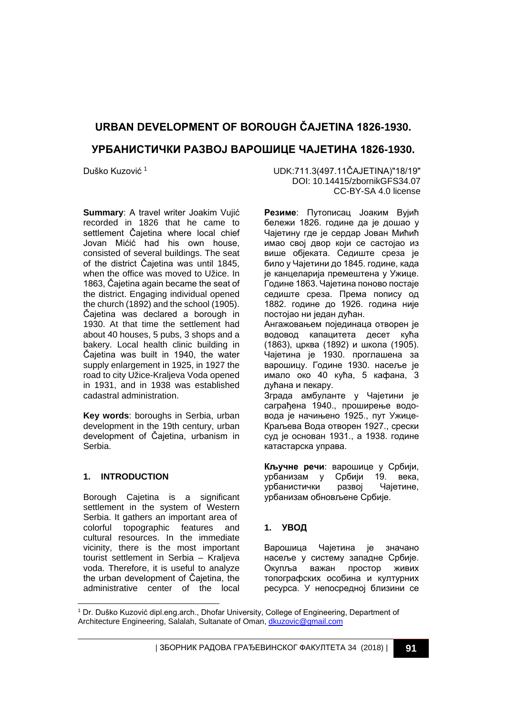# **URBAN DEVELOPMENT OF BOROUGH ČAJETINA 1826-1930. УРБАНИСТИЧКИ РАЗВОЈ ВАРОШИЦЕ ЧАЈЕТИНА 1826-1930.**

**Summary**: A travel writer Joakim Vujić recorded in 1826 that he came to settlement Čajetina where local chief Jovan Mićić had his own house, consisted of several buildings. The seat of the district Čajetina was until 1845, when the office was moved to Užice. In 1863, Čajetina again became the seat of the district. Engaging individual opened the church (1892) and the school (1905). Čajetina was declared a borough in 1930. At that time the settlement had about 40 houses, 5 pubs, 3 shops and a bakery. Local health clinic building in Čajetina was built in 1940, the water supply enlargement in 1925, in 1927 the road to city Užice-Kraljeva Voda opened in 1931, and in 1938 was established cadastral administration.

**Key words**: boroughs in Serbia, urban development in the 19th century, urban development of Čajetina, urbanism in Serbia.

#### **1. INTRODUCTION**

Borough Cajetina is a significant settlement in the system of Western Serbia. It gathers an important area of colorful topographic features and cultural resources. In the immediate vicinity, there is the most important tourist settlement in Serbia – Kraljeva voda. Therefore, it is useful to analyze the urban development of Čajetina, the administrative center of the local

Duško Kuzović [1](#page-0-0) UDK:711.3(497.11ČAJETINA)"18/19" DOI: 10.14415/zbornikGFS34.07 CC-BY-SA 4.0 license

> **Резиме**: Путописац Јоаким Вујић бележи 1826. године да је дошао у Чајетину где је сердар Јован Мићић имао свој двор који се састојао из више објеката. Седиште среза је било у Чајетини до 1845. године, када је канцеларија премештена у Ужице. Године 1863. Чајетина поново постаје седиште среза. Према попису од 1882. године до 1926. година није постoјао ни један дућан. Ангажовањем појединаца отворен је

> водовод капацитета десет кућа (1863), црква (1892) и школа (1905). Чајетина је 1930. проглашена за варошицу. Године 1930. насеље је имало око 40 кућа, 5 кафана, 3 дућана и пекару.

> Зграда амбуланте у Чајетини је саграђена 1940., проширење водовода је начињено 1925., пут Ужице-Краљева Вода отворен 1927., срески суд је основан 1931., а 1938. године катастарска управа.

> **Кључне речи**: варошице у Србији, урбанизам у Србији 19. века,<br>урбанистички развој Чајетине, урбанистички урбанизам обновљене Србије.

# **1. УВОД**

Варошица Чајетина је значано насеље у систему западне Србије. Окупља важан простор живих топографских особина и културних ресурса. У непосредној близини се

<span id="page-0-0"></span>j <sup>1</sup> Dr. Duško Kuzović dipl.eng.arch., Dhofar University, College of Engineering, Department of Architecture Engineering, Salalah, Sultanate of Oman[, dkuzovic@gmail.com](mailto:dkuzovic@gmail.com)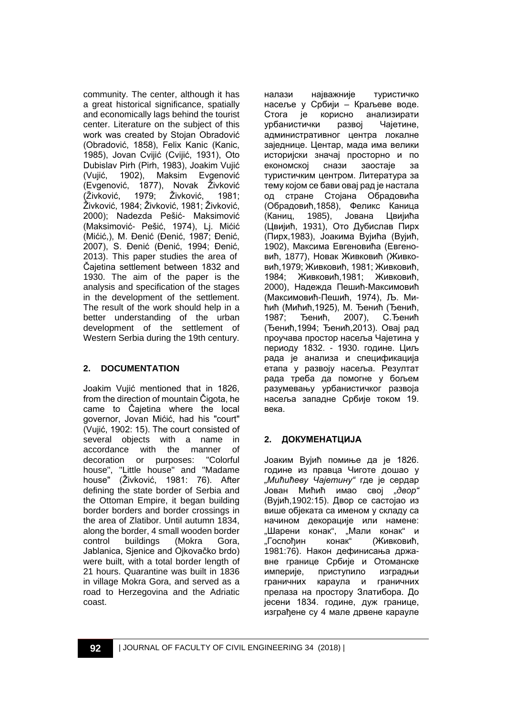community. The center, although it has a great historical significance, spatially and economically lags behind the tourist center. Literature on the subject of this work was created by Stojan Obradović (Obradović, 1858), Felix Kanic (Kanic, 1985), Jovan Cvijić (Cvijić, 1931), Oto Dubislav Pirh (Pirh, 1983), Joakim Vujić (Vujić, 1902), Maksim Evgenović (Evgenović, 1877), Novak Živković<br>(Živković. 1979: Živković, 1981; (Živković, 1979; Živković, 1981; Živković, 1984; Živković, 1981; Živković, 2000); Nadezda Pešić- Maksimović (Maksimović- Pešić, 1974), Lj. Mićić (Mićić,), M. Đenić (Đenić, 1987; Đenić, 2007), S. Đenić (Đenić, 1994; Đenić, 2013). This paper studies the area of Čajetina settlement between 1832 and 1930. The aim of the paper is the analysis and specification of the stages in the development of the settlement. The result of the work should help in a better understanding of the urban development of the settlement of Western Serbia during the 19th century.

# **2. DOCUMENTATION**

Joakim Vujić mentioned that in 1826, from the direction of mountain Čigota, he came to Čajetina where the local governor, Jovan Mićić, had his "court" (Vujić, 1902: 15). The court consisted of several objects with a name in accordance with the manner of decoration or purposes: "Colorful house", "Little house" and "Madame house" (Živković, 1981: 76). After defining the state border of Serbia and the Ottoman Empire, it began building border borders and border crossings in the area of Zlatibor. Until autumn 1834, along the border, 4 small wooden border control buildings (Mokra Gora, Jablanica, Sjenice and Ojkovačko brdo) were built, with a total border length of 21 hours. Quarantine was built in 1836 in village Mokra Gora, and served as a road to Herzegovina and the Adriatic coast.

налази најважније туристичко насеље у Србији – Краљеве воде.<br>Стога је корисно анализирати Стога је корисно анализирати<br>урбанистички развој Чајетине. урбанистички развој административног центра локалне заједнице. Центар, мада има велики историјски значај просторно и по економској снази заостаје за туристичким центром. Литература за тему којом се бави овај рад је настала од стране Стојана Обрадовића (Обрадовић,1858), Феликс Каница (Каниц, 1985), Јована Цвијића (Цвијић, 1931), Ото Дубислав Пирх (Пирх,1983), Јоакима Вујића (Вујић, 1902), Максима Евгеновића (Евгеновић, 1877), Новак Живковић (Живковић,1979; Живковић, 1981; Живковић, 1984; Живковић,1981; Живковић, 2000), Надежда Пешић-Максимовић (Максимовић-Пешић, 1974), Љ. Мићић (Мићић,1925), М. Ђенић (Ђенић, 1987; Ђенић, 2007), С.Ђенић (Ђенић,1994; Ђенић,2013). Овај рад проучава простор насеља Чајетина у периоду 1832. - 1930. године. Циљ рада је анализа и спецификација етапа у развоју насеља. Резултат рада треба да помогне у бољем разумевању урбанистичког развоја насеља западне Србије током 19. века.

# **2. ДОКУМЕНАТЦИЈА**

Јоаким Вујић помиње да је 1826. године из правца Чиготе дошао у *"Мићићеву Чајетину"* где је сердар Јован Мићић имао свој *"двор"*  (Вујић,1902:15). Двор се састојао из више објеката са именом у складу са начином декорације или намене: "Шарени конак", "Мали конак" и "Госпођин конак" (Живковић, 1981:76). Након дефинисања државне границе Србије и Отоманске империје, приступило изградњи<br>граничних караула и граничних граничних караула и прелаза на простору Златибора. До јесени 1834. године, дуж границе, изграђене су 4 мале дрвене карауле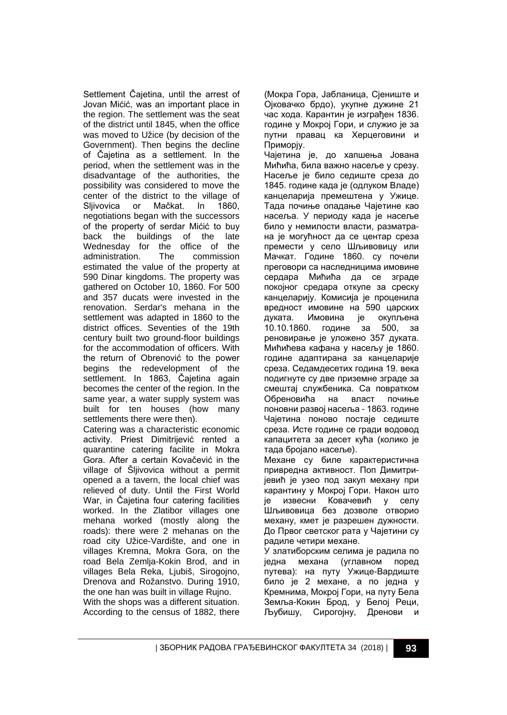Settlement Čajetina, until the arrest of Jovan Mićić, was an important place in the region. The settlement was the seat of the district until 1845, when the office was moved to Užice (by decision of the Government). Then begins the decline of Čajetina as a settlement. In the period, when the settlement was in the disadvantage of the authorities, the possibility was considered to move the center of the district to the village of<br>Sliivovica or Mačkat. In 1860, Sljivovica or Mačkat. In 1860, negotiations began with the successors of the property of serdar Mićić to buy<br>back the buildings of the late the buildings of the late Wednesday for the office of the administration. The commission estimated the value of the property at 590 Dinar kingdoms. The property was gathered on October 10, 1860. For 500 and 357 ducats were invested in the renovation. Serdar's mehana in the settlement was adapted in 1860 to the district offices. Seventies of the 19th century built two ground-floor buildings for the accommodation of officers. With the return of Obrenović to the power begins the redevelopment of the settlement. In 1863, Čajetina again becomes the center of the region. In the same year, a water supply system was built for ten houses (how many settlements there were then).

Catering was a characteristic economic activity. Priest Dimitrijević rented a quarantine catering facilite in Mokra Gora. After a certain Kovačević in the village of Šljivovica without a permit opened a a tavern, the local chief was relieved of duty. Until the First World War, in Čajetina four catering facilities worked. In the Zlatibor villages one mehana worked (mostly along the roads): there were 2 mehanas on the road city Užice-Vardište, and one in villages Kremna, Mokra Gora, on the road Bela Zemlja-Kokin Brod, and in villages Bela Reka, Ljubiš, Sirogojno, Drenova and Rožanstvo. During 1910, the one han was built in village Rujno. With the shops was a different situation. According to the census of 1882, there

(Мокра Гора, Јабланица, Сјениште и Ојковачко брдо), укупне дужине 21 час хода. Карантин је изграђен 1836. године у Мокрој Гори, и служио је за путни правац ка Херцеговини и Приморју.

Чајетина је, до хапшења Јована Мићића, била важно насеље у срезу. Насеље је било седиште среза до 1845. године када је (одлуком Владе) канцеларија премештена у Ужице. Тада почиње опадање Чајетине као насеља. У периоду када је насеље било у немилости власти, разматрана је могућност да се центар среза премести у село Шљивовицу или Мачкат. Године 1860. су почели преговори са наследницима имовине сердара Мићића да се зграде покојног средара откупе за среску канцеларију. Комисија је проценила вредност имовине на 590 царских<br>дуката. Имовина је окупљена дуката. Имовина је 10.10.1860. године за 500, за реновирање је уложено 357 дуката. Мићићева кафана у насељу је 1860. године адаптирана за канцеларије среза. Седамдесетих година 19. века подигнуте су две приземне зграде за смештај службеника. Са повратком Обреновића на власт почиње поновни развој насеља - 1863. године Чајетина поново постаје седиште среза. Исте године се гради водовод капацитета за десет кућа (колико је тада бројало насеље).

Механе су биле карактеристична привредна активност. Поп Димитријевић је узео под закуп механу при карантину у Мокрој Гори. Након што је извесни Ковачевић у селу Шљивовица без дозволе отворио механу, кмет је разрешен дужности. До Првог светског рата у Чајетини су радиле четири механе.

У златиборским селима је радила по једна механа (углавном поред путева): на путу Ужице-Вардиште било је 2 механе, а по једна у Кремнима, Мокрој Гори, на путу Бела Земља-Кокин Брод, у Белој Реци, Љубишу, Сирогојну, Дренови и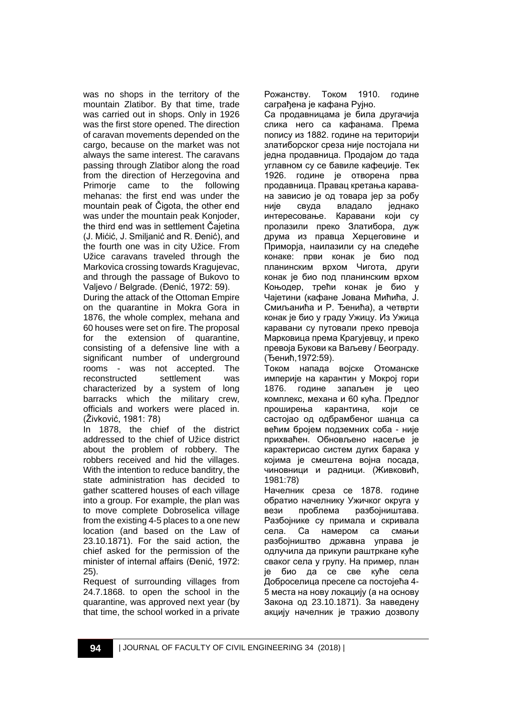was no shops in the territory of the mountain Zlatibor. By that time, trade was carried out in shops. Only in 1926 was the first store opened. The direction of caravan movements depended on the cargo, because on the market was not always the same interest. The caravans passing through Zlatibor along the road from the direction of Herzegovina and<br>Primorie came to the following came to the mehanas: the first end was under the mountain peak of Čigota, the other end was under the mountain peak Konjoder, the third end was in settlement Čajetina (J. Mićić, J. Smiljanić and R. Đenić), and the fourth one was in city Užice. From Užice caravans traveled through the Markovica crossing towards Kragujevac, and through the passage of Bukovo to Valjevo / Belgrade. (Đenić, 1972: 59).

During the attack of the Ottoman Empire on the quarantine in Mokra Gora in 1876, the whole complex, mehana and 60 houses were set on fire. The proposal for the extension of quarantine, consisting of a defensive line with a significant number of underground rooms - was not accepted. The reconstructed settlement was characterized by a system of long barracks which the military crew, officials and workers were placed in. (Živković, 1981: 78)

In 1878, the chief of the district addressed to the chief of Užice district about the problem of robbery. The robbers received and hid the villages. With the intention to reduce banditry, the state administration has decided to gather scattered houses of each village into a group. For example, the plan was to move complete Dobroselica village from the existing 4-5 places to a one new location (and based on the Law of 23.10.1871). For the said action, the chief asked for the permission of the minister of internal affairs (Đenić, 1972: 25).

Request of surrounding villages from 24.7.1868. to open the school in the quarantine, was approved next year (by that time, the school worked in a private Рожанству. Током 1910. године саграђена је кафана Рујно.

Са продавницама је била другачија слика него са кафанама. Према попису из 1882. године на територији златиборског среза није постојала ни једна продавница. Продајом до тада углавном су се бавиле кафеџије. Тек 1926. године је отворена прва продавница. Правац кретања каравана зависио је од товара јер за робу није свуда владало једнако интересовање. Каравани који су пролазили преко Златибора, дуж друма из правца Херцеговине и Приморја, наилазили су на следеће конаке: први конак је био под планинским врхом Чигота, други конак је био под планинским врхом Коњодер, трећи конак је био у Чајетини (кафане Јована Мићића, Ј. Смиљанића и Р. Ђенића), а четврти конак је био у граду Ужицу. Из Ужица каравани су путовали преко превоја Марковица према Крагујевцу, и преко превоја Букови ка Ваљеву / Београду. (Ђенић,1972:59).

Током напада војске Отоманске империје на карантин у Мокрој гори 1876. године запаљен је цео комплекс, механа и 60 кућа. Предлог проширења карантина, који се састојао од одбрамбеног шанца са већим бројем подземних соба - није прихваћен. Обновљено насеље је карактерисао систем дугих барака у којима је смештена војна посада, чиновници и радници. (Живковић, 1981:78)

Начелник среза се 1878. године обратио начелнику Ужичког округа у вези проблема разбојништава. Разбојнике су примала и скривала села. Са намером са смањи разбојништво државна управа је одлучила да прикупи раштркане куће сваког села у групу. На пример, план је био да се све куће села Доброселица преселе са постојећа 4- 5 места на нову локацију (а на основу Закона од 23.10.1871). За наведену акцију начелник је тражио дозволу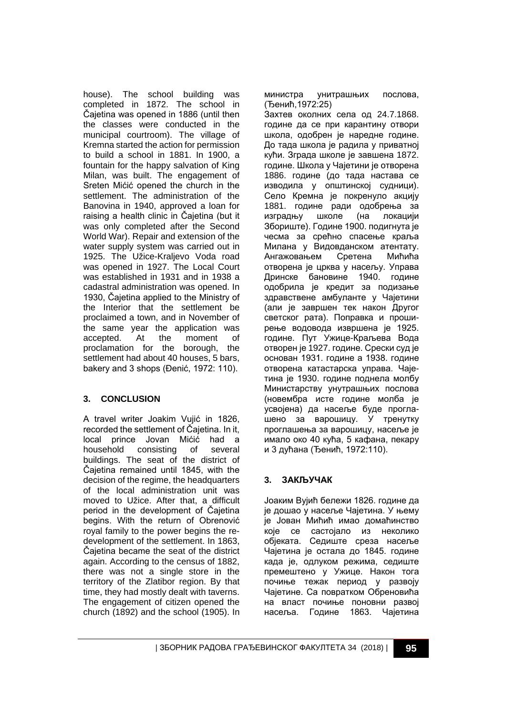house). The school building was completed in 1872. The school in Čajetina was opened in 1886 (until then the classes were conducted in the municipal courtroom). The village of Kremna started the action for permission to build a school in 1881. In 1900, a fountain for the happy salvation of King Milan, was built. The engagement of Sreten Mićić opened the church in the settlement. The administration of the Banovina in 1940, approved a loan for raising a health clinic in Čajetina (but it was only completed after the Second World War). Repair and extension of the water supply system was carried out in 1925. The Užice-Kraljevo Voda road was opened in 1927. The Local Court was established in 1931 and in 1938 a cadastral administration was opened. In 1930, Čajetina applied to the Ministry of the Interior that the settlement be proclaimed a town, and in November of the same year the application was accepted. At the moment of proclamation for the borough, the settlement had about 40 houses, 5 bars, bakery and 3 shops (Đenić, 1972: 110).

# **3. CONCLUSION**

A travel writer Joakim Vujić in 1826, recorded the settlement of Čajetina. In it, local prince Jovan Mićić had a household consisting of several buildings. The seat of the district of Čajetina remained until 1845, with the decision of the regime, the headquarters of the local administration unit was moved to Užice. After that, a difficult period in the development of Čajetina begins. With the return of Obrenović royal family to the power begins the redevelopment of the settlement. In 1863, Čajetina became the seat of the district again. According to the census of 1882, there was not a single store in the territory of the Zlatibor region. By that time, they had mostly dealt with taverns. The engagement of citizen opened the church (1892) and the school (1905). In

министра унитрашњих послова, (Ђенић,1972:25)

Захтев околних села од 24.7.1868. године да се при карантину отвори школа, одобрен је наредне године. До тада школа је радила у приватној кући. Зграда школе је завшена 1872. године. Школа у Чајетини је отворена 1886. године (до тада настава се изводила у општинској судници). Село Кремна је покренуло акцију 1881. године ради одобрења за изградњу школе (на локацији Збориште). Године 1900. подигнута је чесма за срећно спасење краља Милана у Видовданском атентату. Ангажовањем Сретена Мићића отворена је црква у насељу. Управа Дринске бановине 1940. године одобрила је кредит за подизање здравствене амбуланте у Чајетини (али је завршен тек након Другог светског рата). Поправка и проширење водовода извршена је 1925. године. Пут Ужице-Краљева Вода отворен је 1927. године. Срески суд је основан 1931. године а 1938. године отворена катастарска управа. Чајетина је 1930. године поднела молбу Министарству унутрашњих послова (новембра исте године молба је усвојена) да насеље буде проглашено за варошицу. У тренутку проглашења за варошицу, насеље је имало око 40 кућа, 5 кафана, пекару и 3 дућана (Ђенић, 1972:110).

#### **3. ЗАКЉУЧАК**

Јоаким Вујић бележи 1826. године да је дошао у насеље Чајетина. У њему је Јован Мићић имао домаћинство које се састојало из неколико објеката. Седиште среза насеље Чајетина је остала до 1845. године када је, одлуком режима, седиште премештено у Ужице. Након тога почиње тежак период у развоју Чајетине. Са повратком Обреновића на власт почиње поновни развој насеља. Године 1863. Чајетина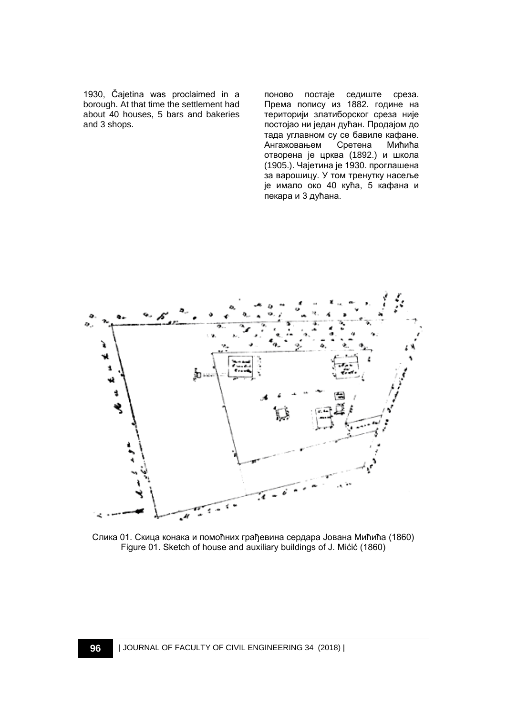1930, Čajetina was proclaimed in a borough. At that time the settlement had about 40 houses, 5 bars and bakeries and 3 shops.

поново постаје седиште среза. Према попису из 1882. године на територији златиборског среза није постојао ни један дућан. Продајом до тада углавном су се бавиле кафане.<br>Ангажовањем Сретена Мићића Ангажовањем отворена је црква (1892.) и школа (1905.). Чајетина је 1930. проглашена за варошицу. У том тренутку насеље је имало око 40 кућа, 5 кафана и пекара и 3 дућана.



Слика 01. Скица конака и помоћних грађевина сердара Јована Мићића (1860) Figure 01. Sketch of house and auxiliary buildings of J. Mićić (1860)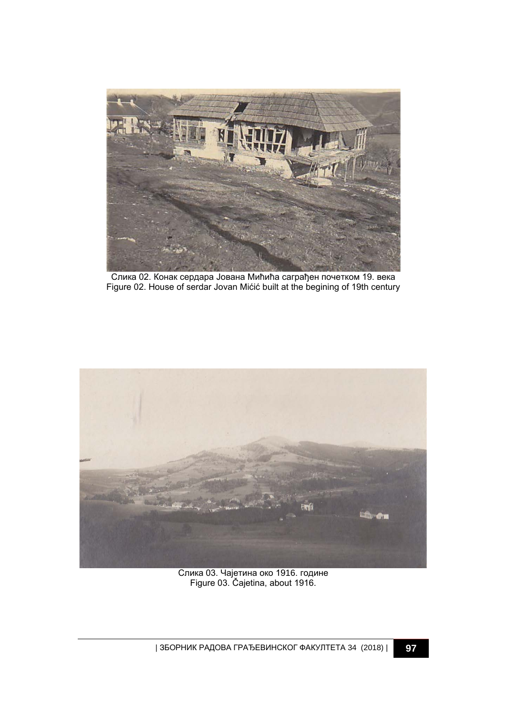

Слика 02. Конак сердара Јована Мићића саграђен почетком 19. века Figure 02. House of serdar Jovan Mićić built at the begining of 19th century



Слика 03. Чајетина око 1916. године Figure 03. Čajetina, about 1916.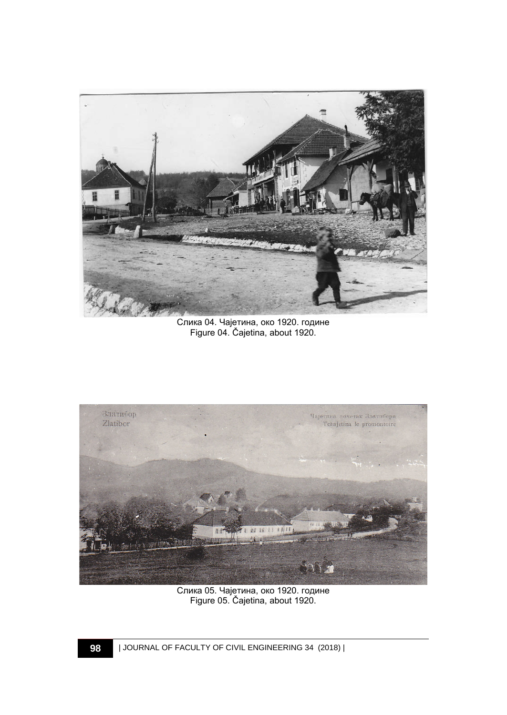

Слика 04. Чајетина, око 1920. године Figure 04. Čajetina, about 1920.



Слика 05. Чајетина, око 1920. године Figure 05. Čajetina, about 1920.